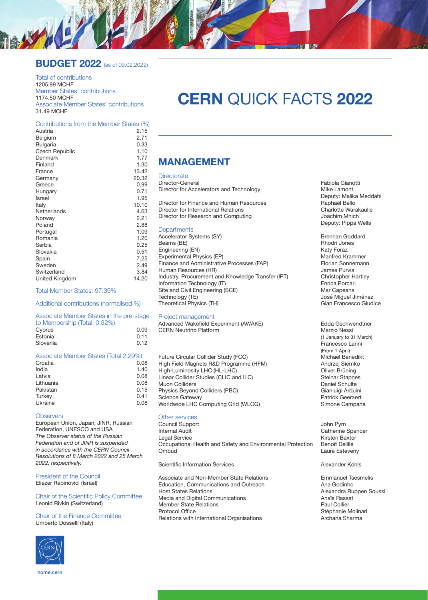### **BUDGET 2022** (as of 09.02.2022)

Total of contributions 1205.99 MCHF Member States' contributions 1174.50 MCHF Associate Member States' contributions 31.49 MCHF

### Contributions from the Member States (%)

| Austria               | 2.15  |
|-----------------------|-------|
| Belgium               | 2.71  |
| <b>Bulgaria</b>       | 0.33  |
| <b>Czech Republic</b> | 1.10  |
| Denmark               | 1.77  |
| Finland               | 1.30  |
| France                | 13.42 |
| Germany               | 20.32 |
| Greece                | 0.99  |
| Hungary               | 0.71  |
| Israel                | 1.95  |
| Italy                 | 10.10 |
| Netherlands           | 4.63  |
| Norway                | 2.21  |
| Poland                | 2.88  |
| Portugal              | 1.09  |
| Romania               | 1.20  |
| Serbia                | 0.25  |
| Slovakia              | 0.51  |
| Spain                 | 7.25  |
| Sweden                | 2.49  |
| Switzerland           | 3.84  |
| United Kingdom        | 14.20 |
|                       |       |

#### Total Member States: 97.39%

Additional contributions (normalised %)

### Associate Member States in the pre-stage to Membership (Total: 0.32%)

| Cyprus   |  | 0.09 |
|----------|--|------|
| Estonia  |  | 0.11 |
| Slovenia |  | 0.12 |

#### Associate Member States (Total 2.29%)

| Croatia   | 0.08 |
|-----------|------|
| India     | 1.40 |
| Latvia    | 0.08 |
| Lithuania | 0.08 |
| Pakistan  | 0.15 |
| Turkey    | 0.41 |
| Ukraine   | 0.08 |
|           |      |

#### **Observers**

European Union, Japan, JINR, Russian Federation, UNESCO and USA *The Observer status of the Russian Federation and of JINR is suspended in accordance with the CERN Council Resolutions of 8 March 2022 and 25 March 2022, respectively.*

President of the Council Eliezer Rabinovici (Israel)

### Chair of the Scientific Policy Committee Leonid Rivkin (Switzerland)

### Chair of the Finance Committee Umberto Dosselli (Italy)



# **CERN** QUICK FACTS **2022**

### **MANAGEMENT**

## Directorate<br>Director-General

Director for Accelerators and Technology

Director for Finance and Human Resources<br>
Director for International Belations<br>
Charlotte Warakaulle Director for International Relations<br>
Director for Research and Computing<br>
Joachim Mnich Director for Research and Computing

### **Departments**

Accelerator Systems (SY) Brennan Goddard<br>Beams (BE) Brennan Goddard<br>Brennan Goddard Beams (BE) <br>
Engineering (EN) Rhodri Jones (EN) Rhodri Jones (Raty Foraz Engineering (EN) <br>Experimental Physics (EP) Experimental Physics (EP) and the Control of Manfred Krammer Experimental Physics (EP) [1994] Experimental Physics (EP) [1994] Manfred Krammer<br>Finance and Administrative Processes (FAP) [1994] Florian Sonnemann Finance and Administrative Processes (FAP) Florian Sonne<br>
Human Resources (HR) Florian Sonnes Purvis Human Resources (HR)<br>
Industry, Procurement and Knowledge Transfer (IPT) Christopher Hartley Industry, Procurement and Knowledge Transfer (IPT) Christopher Hartlery, Procurement and Knowledge Transfer (IPT) Christopher Hartley Information Technology (IT) entitled and Civil Engineering (SCE) and Site and Civil Engineering (SCE) Site and Civil Engineering (SCE)<br>Technology (TE) Theoretical Physics (TH)

### Project management

Advanced Wakefield Experiment (AWAKE) Edda Gschwendtner<br>CERN Neutrino Platform CERN Marzio Nessi **CERN Neutrino Platform** 

Future Circular Collider Study (FCC)<br>
High Field Magnets R&D Programme (HFM) Magnetic Biemko High Field Magnets R&D Programme (HFM) and the Andrzej Siemkom Andrzej Siemkom High Andrzej Siemkom<br>High-Luminosity LHC (HL-LHC) High-Luminosity LHC (HL-LHC)<br>
Linear Collider Studies (CLIC and ILC) Steinar Stapnes Linear Collider Studies (CLIC and ILC) Steinar Stapne<br>Muon Colliders Staphen Steinar Stapne Muon Colliders (PBC)<br>
Physics Bevond Colliders (PBC)<br>
Cianluigi Arduini Physics Beyond Colliders (PBC) and the Collis Colline Colline Colline Colline Colline Colline Colline Colline C<br>
Patrick Geeraert Science Gateway <br>
Worldwide LHC Computing Grid (WLCG) 

Patrick Geeraert<br>
Simone Campana Worldwide LHC Computing Grid (WLCG)

### Other services

Council Support and the council Support of the council Support of the council Support of the council Support of the council Support of the council Support of the council Support of the council Support of the council Suppor Internal Audit **Internal Audit** Catherine Spencer<br>
Legal Service **Catherine Spencer**<br>
Kirsten Baxter Occupational Health and Safety and Environmental Protection<br>Ombud

Scientific Information Services Alexander Kohls

Associate and Non-Member State Relations<br>
Education, Communications and Outreach<br>
Ana Godinho Education, Communications and Outreach<br>Host States Relations Media and Digital Communications<br>
Member State Relations<br>
Paul Collier Member State Relations<br>Protocol Office Relations with International Organisations

Fabiola Gianotti<br>Mike Lamont Deputy: Malika Meddahi<br>Raphaël Bello Deputy: Pippa Wells

José Miguel Jiménez<br>Gian Francesco Giudice

(1 January to 31 March) Francesco Lanni (From 1 April)

Kirsten Baxter<br>Benoît Delille Laure Esteveny

Alexandra Ruppen Soussi<br>Anaïs Rassat Stéphanie Molinari<br>Archana Sharma

home.cern